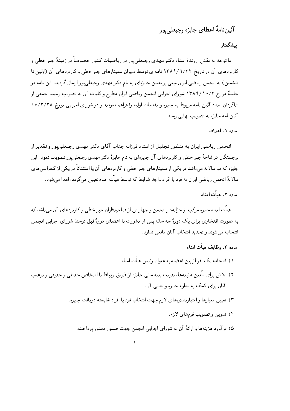# آئين نامهٔ اعطاي جايزه , جيعلي بور

### ييشگفتار

با توجه به نقش ارزندهٔ استاد دکتر مهدی رجبعلبیپور در ریاضیات کشور خصوصاً در زمینهٔ جبر خطبی و کاربردهای آن در تاریخ ۱۳۸۹/٦/۲۲ نامهای توسط دبیران سمینارهای جبر خطی و کاربردهای آن (اولین تا ششمین) به انجمن ریاضی ایران مبنی بر تعیین جایزهای به نام دکتر مهدی رجیعلی یور ارسال گردید. این نامه در جلسهٔ مورخ ۷/۰/۱۰/۲ شورای اجرایی انجمن ریاضی ایران مطرح و کلیات آن به تصویب رسید. جمعی از شاگردان استاد آئین نامه مربوط به جایزه و مقدمات اولیه را فراهم نمودند و در شورای اجرایی مورخ ۲/۲/۲۸ و ۹ آئیننامه جایزه به تصویب نهایی رسید.

#### ماده ١. اهداف

انجمن ریاضی ایران به منظور تجلیل از استاد فرزانه جناب آقای دکتر مهدی رجیعلی پور و تقدیر از برجستگان در شاخهٔ جبر خطی و کاربردهای آن جایزهای به نام جایزهٔ دکتر مهدی رجیعلی پور تصویب نمود. این جایزه که دو سالانه می باشد در یکی از سمینارهای جبر خطی و کاربردهای آن یا استثنائاً در یکی از کنفرانس های سالانهٔ انجمن ریاضی ایران به فرد یا افراد واجد شرایط که توسط هیأت امناء تعیین میگردد، اهدا می شود.

## ماده ۲. هيأت امناء

هیات امناء جایزه مرکب از خزانهدار انجمن و چهار تن از صاحبنظران جبر خطی و کاربردهای آن می باشد که به صورت افتخاري براي يک دورهٔ سه ساله پس از مشورت با اعضاي دورهٔ قبل توسط شوراي اجرايي انجمن انتخاب می شوند و تجدید انتخاب آنان مانعی ندارد.

## ماده ۳. وظایف هیأت امناء

- ١) انتخاب یک نفر از بین اعضاء به عنوان ,ئیس هیأت امناء.
- ۲) تلاش برای تامین هزینهها، تقویت بنیه مالی جایزه از طریق ارتباط با اشخاص حقیقی و حقوقی و ترغیب آنان برای کمک به تداوم جایزه و تعالبی آن.
	- ۳) تعیین معیارها وامتیازبندیهای لازم جهت انتخاب فرد یا افراد شایسته دریافت جایزه.
		- ۴) تدوین و تصویب فرمهای لازم.
		- ۵) بر آورد هزینهها و ارائهٔ آن به شورای اجرایی انجمن جهت صدور دستور پرداخت.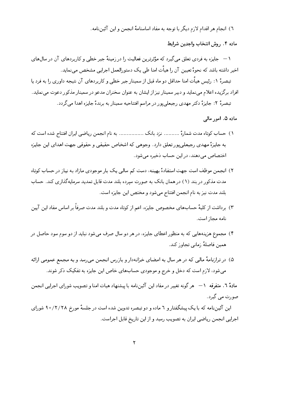٦) انجام هر اقدام لازم دیگر با توجه به مفاد اساسنامهٔ انجمن و این آئیننامه.

ماده ۴. روش انتخاب واجدين شرايط

۱ — جایزه به فردی تعلق می گیرد که مؤثرترین فعالیت را در زمینهٔ جبر خطی و کاربردهای آن در سالهای اخیر داشته باشد که نحوهٔ تعیین آن را هیأت امنا طی یک دستورالعمل اجرایی مشخص می،نماید.

تبصرهٔ ۱: رئیس هیأت امنا حداقل دو ماه قبل از سمینار جبر خطی و کاربردهای آن نتیجه داوری را به فرد یا افراد برگزیده اعلام می نماید و دبیر سمینار نیز از ایشان به عنوان سخنران مدعو در سمینار مذکور دعوت می نماید. تبصرهٔ ۲: جایزهٔ دکتر مهدی رجبعلیپور در مراسم افتتاحیه سمینار به برندهٔ جایزه اهدا میگردد.

ماده ۵. امور مالی

- ١) حساب كوتاه مدت شمارة .......... نزد بانك ............... به نام انجمن رياضيي ايران افتتاح شده است كه به جايزهٔ مهدي رجبعلي يور تعلق دارد. وجوهبي كه اشخاص حقيقبي و حقوقبي جهت اهداي اين جايزه اختصاص مے دھند، در این حساب ذخیرہ مے شود.
- ۲) انجمن موظف است جهت استفادهٔ بهینه، دست کم سالبی یک بار موجودی مازاد به نیاز در حساب کوتاه مدت مذکور در بند (۱) در همان بانک به صورت سیرده بلند مدت قابل تمدید سرمایهگذاری کند. حساب بلند مدت نیز به نام انجمن افتتاح میشود و مختص این جایزه است.
- ۳) برداشت از کلیهٔ حسابهای مخصوص جایزه، اعم از کوتاه مدت و بلند مدت صرفاً بر اساس مفاد این آیین نامه مجاز است.
- ۴) مجموع هزینههایی که به منظور اعطای جایزه، در هر دو سال صرف می شود نباید از دو سوم سود حاصل در همين فاصلهٔ زماني تجاوز كند.
- ۵) در ترازنامهٔ مالی که در هر سال به امضای خزانهدار و بازرس انجمن می رسد و به مجمع عمومی ارائه میشود، لازم است که دخل و خرج و موجودی حسابهای خاص این جایزه به تفکیک ذکر شوند.

مادهٔ ٦. متفرقه (— هر گونه تغییر در مفاد این آئین نامه با پیشنهاد هیات امنا و تصویب شورای اجرایی انجمن صورت مے گیرد.

این آئیننامه که با یک پیشگفتار و ٦ ماده و دوتبصره تدوین شده است در جلسهٔ مورخ ۲/۲/۲۸ ه شورای اجرایی انجمن ریاضی ایران به تصویب رسید و از این تاریخ قابل اجراست.